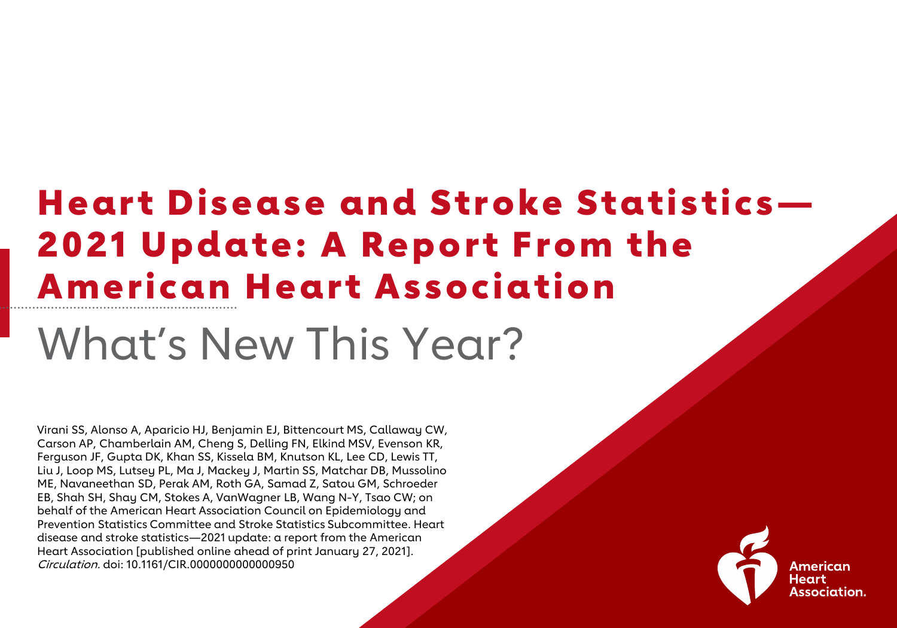### Heart Disease and Stroke Statistics— 2021 Update: A Report From the American Heart Association

### What's New This Year?

Virani SS, Alonso A, Aparicio HJ, Benjamin EJ, Bittencourt MS, Callaway CW, Carson AP, Chamberlain AM, Cheng S, Delling FN, Elkind MSV, Evenson KR, Ferguson JF, Gupta DK, Khan SS, Kissela BM, Knutson KL, Lee CD, Lewis TT, Liu J, Loop MS, Lutsey PL, Ma J, Mackey J, Martin SS, Matchar DB, Mussolino ME, Navaneethan SD, Perak AM, Roth GA, Samad Z, Satou GM, Schroeder EB, Shah SH, Shay CM, Stokes A, VanWagner LB, Wang N-Y, Tsao CW; on behalf of the American Heart Association Council on Epidemiology and Prevention Statistics Committee and Stroke Statistics Subcommittee. Heart disease and stroke statistics—2021 update: a report from the American Heart Association [published online ahead of print January 27, 2021]. Circulation. doi: 10.1161/CIR.0000000000000950

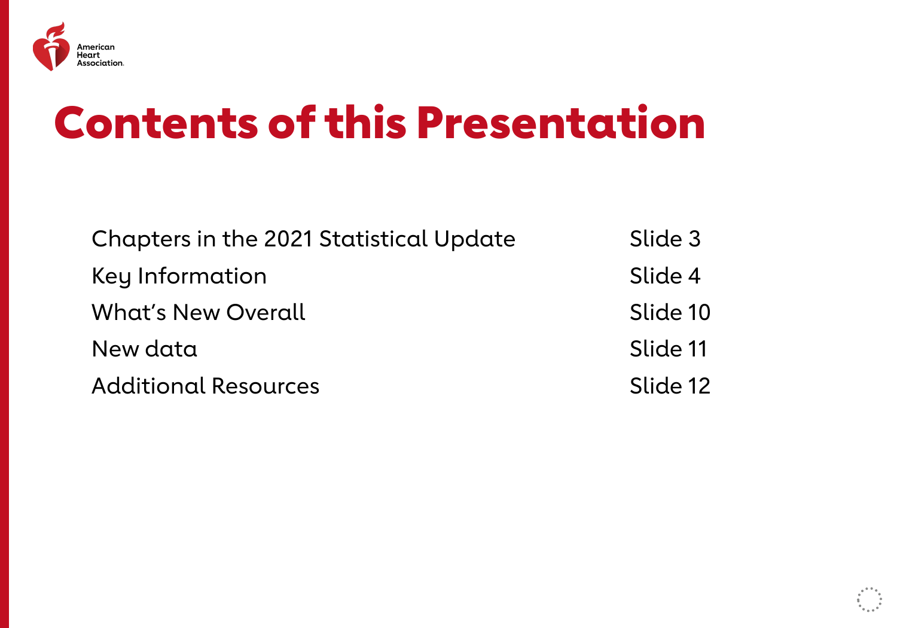

### Contents of this Presentation

| Chapters in the 2021 Statistical Update | Slide 3  |
|-----------------------------------------|----------|
| Key Information                         | Slide 4  |
| <b>What's New Overall</b>               | Slide 10 |
| New data                                | Slide 11 |
| <b>Additional Resources</b>             | Slide 12 |

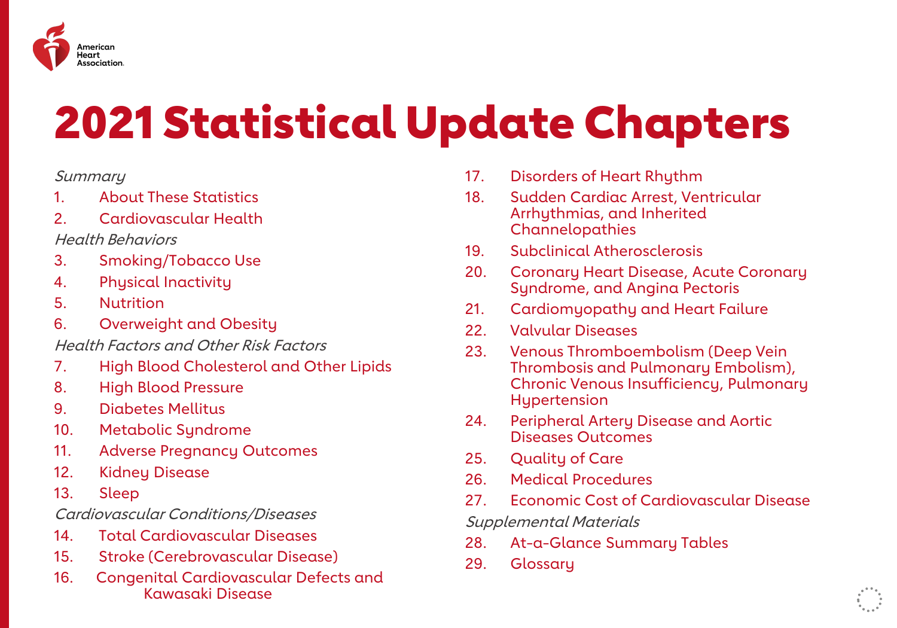

## 2021 Statistical Update Chapters

#### **Summary**

- 1. About These Statistics
- 2. Cardiovascular Health
- Health Behaviors
- 3. Smoking/Tobacco Use
- 4. Physical Inactivity
- 5. Nutrition
- 6. Overweight and Obesity
- Health Factors and Other Risk Factors
- 7. High Blood Cholesterol and Other Lipids
- 8. High Blood Pressure
- 9. Diabetes Mellitus
- 10. Metabolic Syndrome
- 11. Adverse Pregnancy Outcomes
- 12. Kidney Disease
- 13. Sleep

Cardiovascular Conditions/Diseases

- 14. Total Cardiovascular Diseases
- 15. Stroke (Cerebrovascular Disease)
- 16. Congenital Cardiovascular Defects and Kawasaki Disease
- 17. Disorders of Heart Rhythm
- 18. Sudden Cardiac Arrest, Ventricular Arrhythmias, and Inherited Channelopathies
- 19. Subclinical Atherosclerosis
- 20. Coronary Heart Disease, Acute Coronary Syndrome, and Angina Pectoris
- 21. Cardiomyopathy and Heart Failure
- 22. Valvular Diseases
- 23. Venous Thromboembolism (Deep Vein Thrombosis and Pulmonary Embolism), Chronic Venous Insufficiency, Pulmonary Hypertension
- 24. Peripheral Artery Disease and Aortic Diseases Outcomes
- 25. Quality of Care
- 26. Medical Procedures
- 27. Economic Cost of Cardiovascular Disease

Supplemental Materials

- 28. At-a-Glance Summary Tables
- 29. Glossary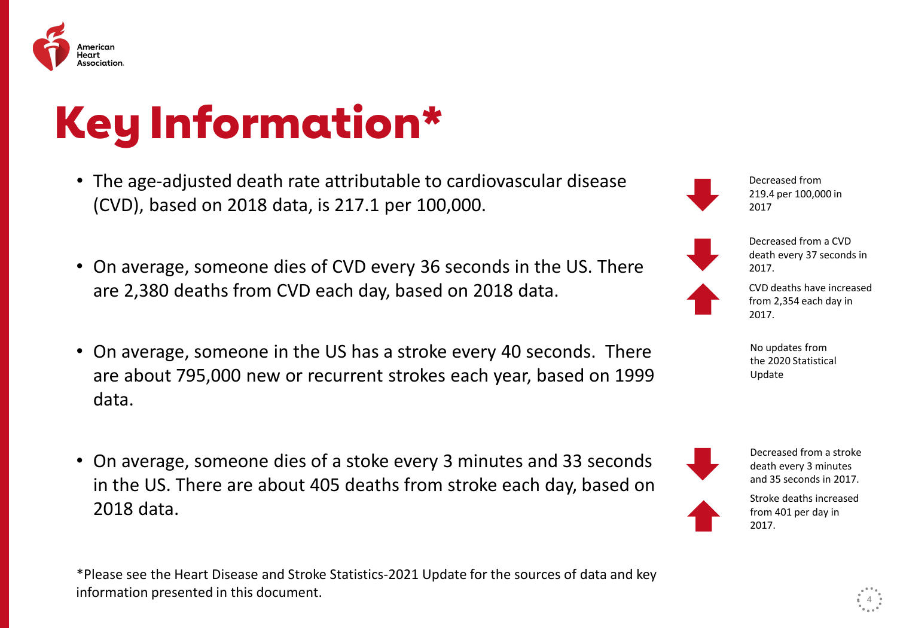

# Key Information\*

- The age-adjusted death rate attributable to cardiovascular disease (CVD), based on 2018 data, is 217.1 per 100,000.
- On average, someone dies of CVD every 36 seconds in the US. There are 2,380 deaths from CVD each day, based on 2018 data.
- On average, someone in the US has a stroke every 40 seconds. There are about 795,000 new or recurrent strokes each year, based on 1999 data.
- On average, someone dies of a stoke every 3 minutes and 33 seconds in the US. There are about 405 deaths from stroke each day, based on 2018 data.

\*Please see the Heart Disease and Stroke Statistics-2021 Update for the sources of data and key information presented in this document. <sup>4</sup>

219.4 per 100,000 in 2017

Decreased from

Decreased from a CVD death every 37 seconds in 2017.



CVD deaths have increased from 2,354 each day in 2017.

No updates from the 2020 Statistical Update

Decreased from a stroke death every 3 minutes and 35 seconds in 2017.



Stroke deaths increased from 401 per day in 2017.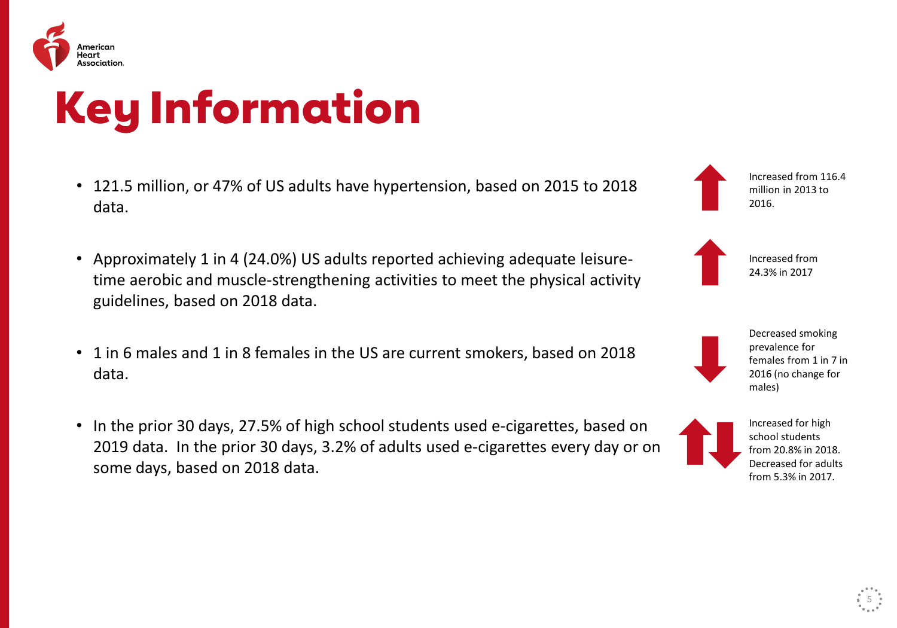

## Key Information

- 121.5 million, or 47% of US adults have hypertension, based on 2015 to 2018 data.
- Approximately 1 in 4 (24.0%) US adults reported achieving adequate leisuretime aerobic and muscle-strengthening activities to meet the physical activity guidelines, based on 2018 data.
- 1 in 6 males and 1 in 8 females in the US are current smokers, based on 2018 data.
- In the prior 30 days, 27.5% of high school students used e-cigarettes, based on 2019 data. In the prior 30 days, 3.2% of adults used e-cigarettes every day or on some days, based on 2018 data.

Increased from 116.4 million in 2013 to 2016.

Increased from 24.3% in 2017

> Decreased smoking prevalence for females from 1 in 7 in 2016 (no change for males)



Increased for high school students from 20.8% in 2018. Decreased for adults from 5.3% in 2017.

5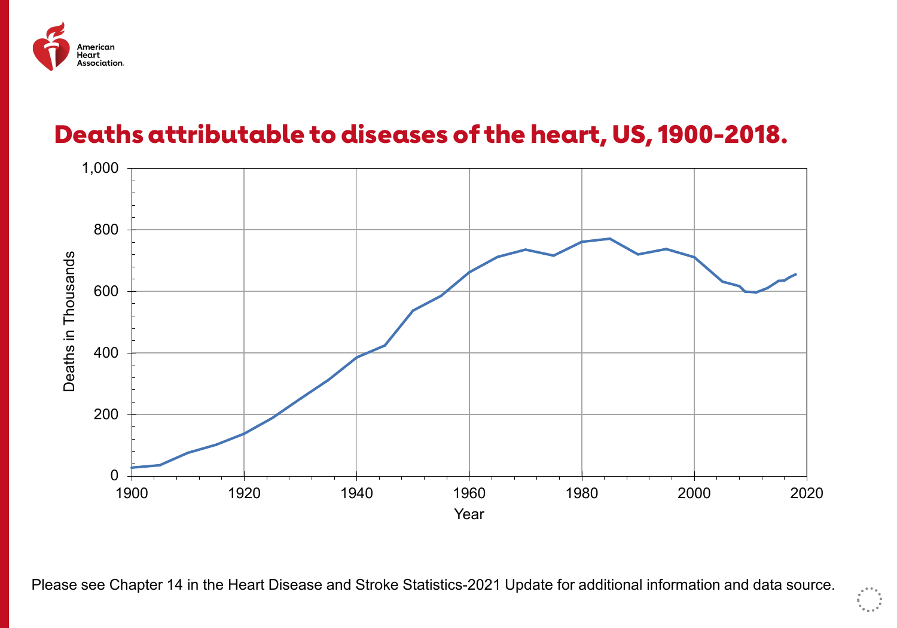

#### Deaths attributable to diseases of the heart, US, 1900-2018.



Please see Chapter 14 in the Heart Disease and Stroke Statistics-2021 Update for additional information and data source.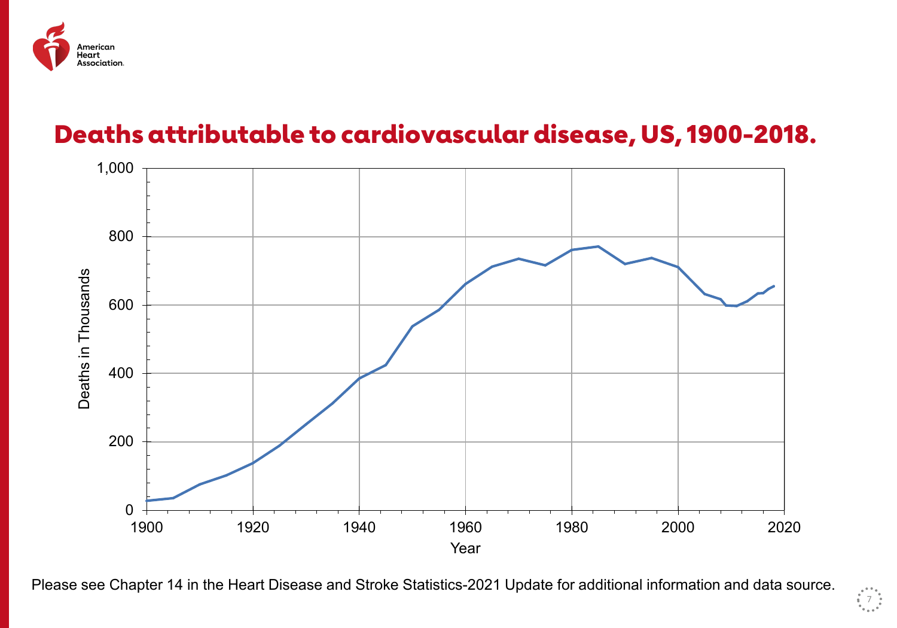

#### Deaths attributable to cardiovascular disease, US, 1900-2018.



Please see Chapter 14 in the Heart Disease and Stroke Statistics-2021 Update for additional information and data source.

 $\frac{1}{2}$  7  $\frac{1}{2}$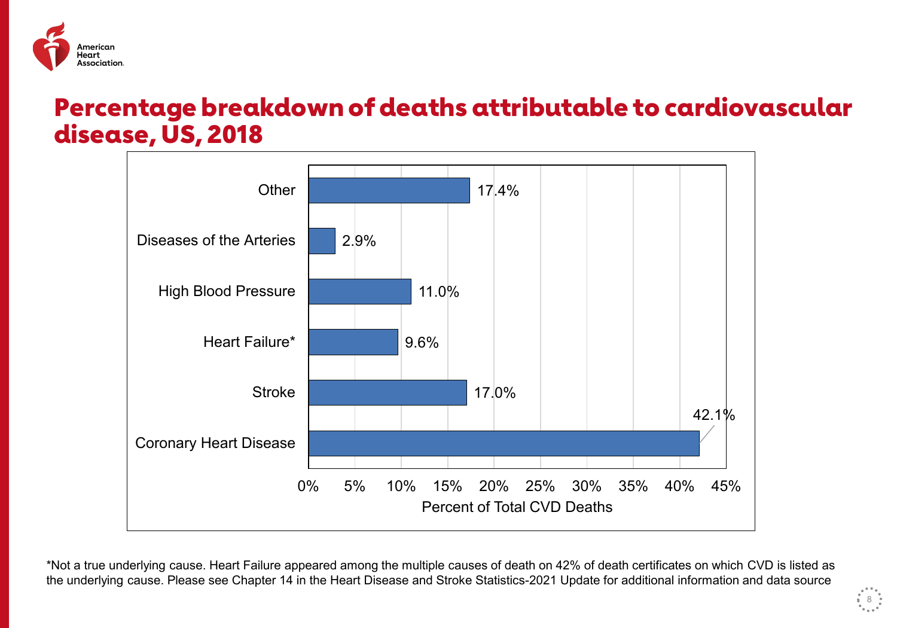

#### Percentage breakdown of deaths attributable to cardiovascular disease, US, 2018



\*Not a true underlying cause. Heart Failure appeared among the multiple causes of death on 42% of death certificates on which CVD is listed as the underlying cause. Please see Chapter 14 in the Heart Disease and Stroke Statistics-2021 Update for additional information and data source

 $^{\circ}$  8  $^{\circ}$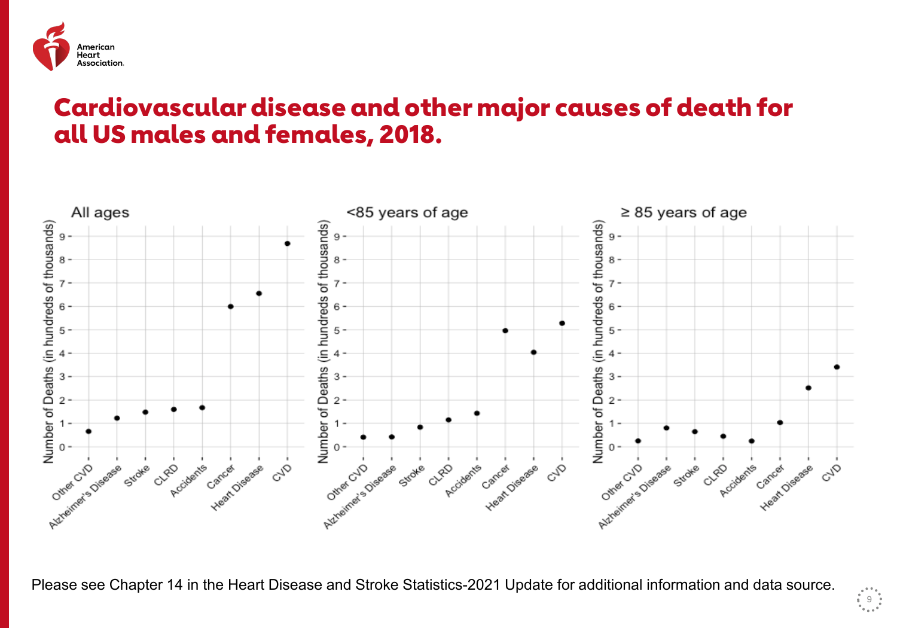

#### Cardiovascular disease and other major causes of death for all US males and females, 2018.



Please see Chapter 14 in the Heart Disease and Stroke Statistics-2021 Update for additional information and data source.

 $\begin{array}{c} \begin{array}{c} \bullet \\ \bullet \\ \bullet \\ \bullet \end{array} & \begin{array}{c} \bullet \\ \bullet \\ \bullet \\ \bullet \end{array} \\ \begin{array}{c} \bullet \\ \bullet \\ \bullet \end{array} & \begin{array}{c} \bullet \\ \bullet \\ \bullet \\ \bullet \end{array} \end{array}$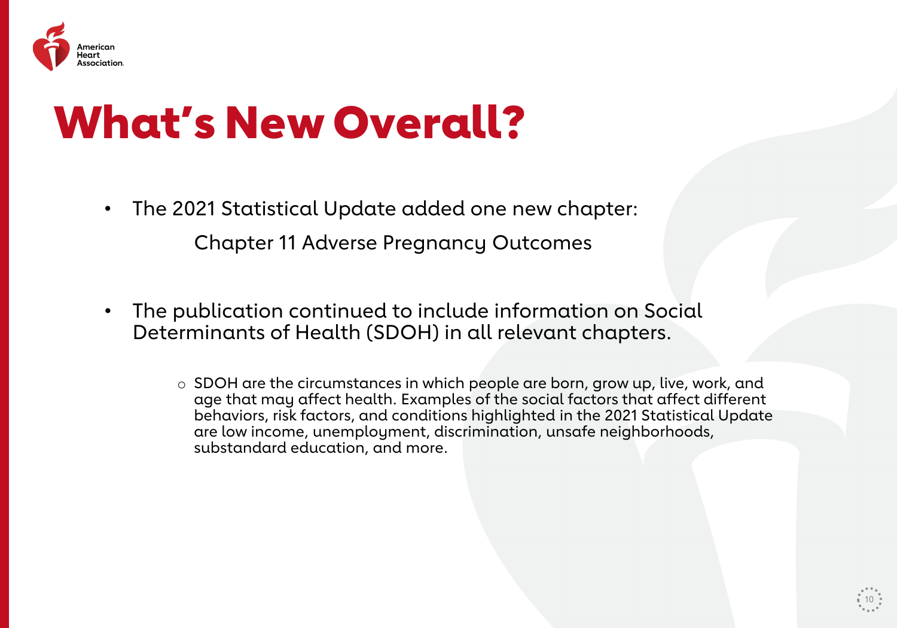

### What's New Overall?

- The 2021 Statistical Update added one new chapter: Chapter 11 Adverse Pregnancy Outcomes
- The publication continued to include information on Social Determinants of Health (SDOH) in all relevant chapters.
	- o SDOH are the circumstances in which people are born, grow up, live, work, and age that may affect health. Examples of the social factors that affect different behaviors, risk factors, and conditions highlighted in the 2021 Statistical Update are low income, unemployment, discrimination, unsafe neighborhoods, substandard education, and more.

10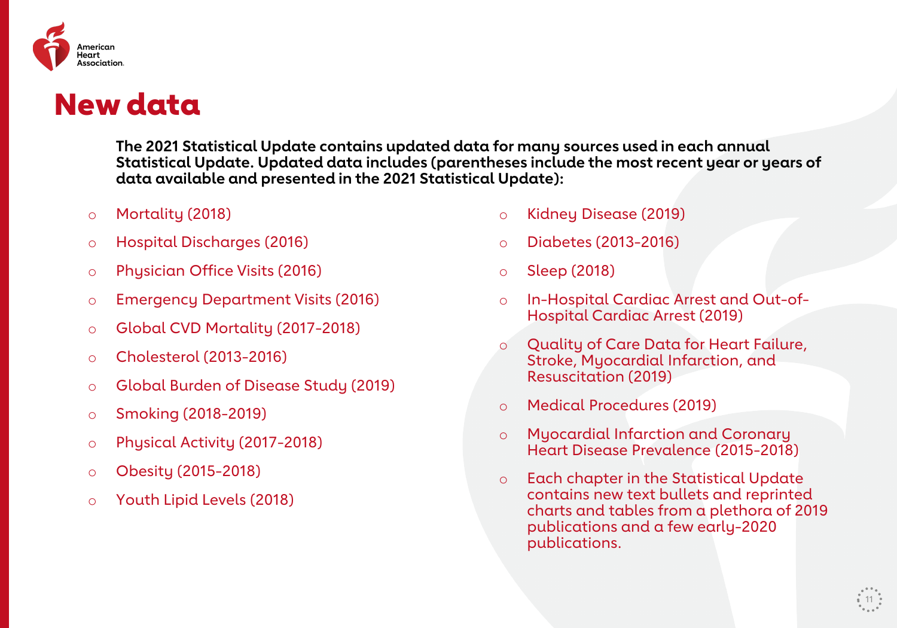

### New data

**The 2021 Statistical Update contains updated data for many sources used in each annual Statistical Update. Updated data includes (parentheses include the most recent year or years of data available and presented in the 2021 Statistical Update):** 

- o Mortality (2018)
- o Hospital Discharges (2016)
- o Physician Office Visits (2016)
- o Emergency Department Visits (2016)
- o Global CVD Mortality (2017-2018)
- o Cholesterol (2013-2016)
- o Global Burden of Disease Study (2019)
- o Smoking (2018-2019)
- o Physical Activity (2017-2018)
- o Obesity (2015-2018)
- o Youth Lipid Levels (2018)
- o Kidney Disease (2019)
- o Diabetes (2013-2016)
- o Sleep (2018)
- o In-Hospital Cardiac Arrest and Out-of-Hospital Cardiac Arrest (2019)
- o Quality of Care Data for Heart Failure, Stroke, Myocardial Infarction, and Resuscitation (2019)
- o Medical Procedures (2019)
- o Myocardial Infarction and Coronary Heart Disease Prevalence (2015-2018)
- o Each chapter in the Statistical Update contains new text bullets and reprinted charts and tables from a plethora of 2019 publications and a few early-2020 publications.

11